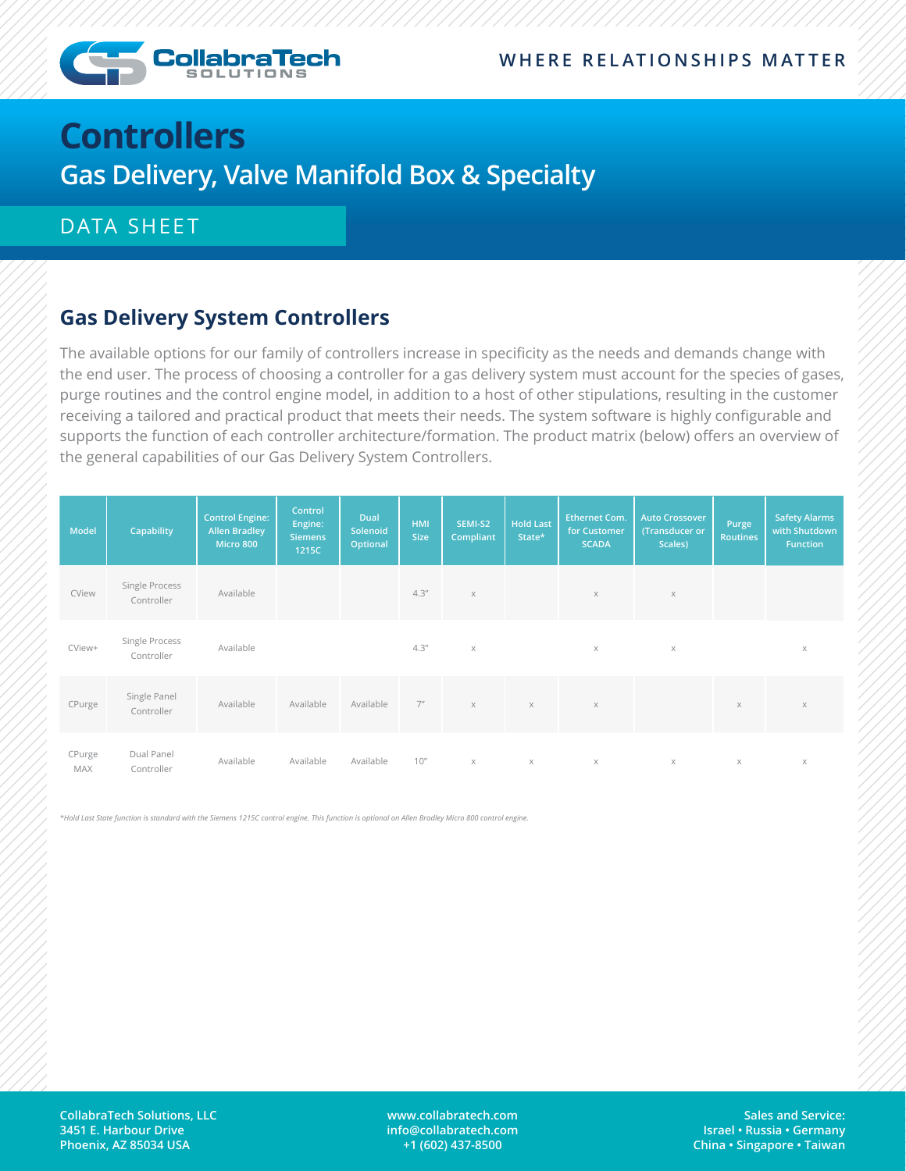

# **Controllers Gas Delivery, Valve Manifold Box & Specialty**

#### DATA SHEET

### **Gas Delivery System Controllers**

The available options for our family of controllers increase in specificity as the needs and demands change with the end user. The process of choosing a controller for a gas delivery system must account for the species of gases, purge routines and the control engine model, in addition to a host of other stipulations, resulting in the customer receiving a tailored and practical product that meets their needs. The system software is highly configurable and supports the function of each controller architecture/formation. The product matrix (below) offers an overview of the general capabilities of our Gas Delivery System Controllers.

| <b>Model</b>  | Capability                   | <b>Control Engine:</b><br><b>Allen Bradley</b><br>Micro 800 | Control<br>Engine:<br>Siemens<br>1215C | Dual<br>Solenoid<br>Optional | <b>HMI</b><br><b>Size</b> | SEMI-S2<br>Compliant | <b>Hold Last</b><br>State* | <b>Ethernet Com.</b><br>for Customer<br><b>SCADA</b> | <b>Auto Crossover</b><br>(Transducer or<br>Scales) | Purge<br><b>Routines</b> | <b>Safety Alarms</b><br>with Shutdown<br><b>Function</b> |
|---------------|------------------------------|-------------------------------------------------------------|----------------------------------------|------------------------------|---------------------------|----------------------|----------------------------|------------------------------------------------------|----------------------------------------------------|--------------------------|----------------------------------------------------------|
| CView         | Single Process<br>Controller | Available                                                   |                                        |                              | 4.3''                     | $\mathsf X$          |                            | $\times$                                             | $\times$                                           |                          |                                                          |
| CView+        | Single Process<br>Controller | Available                                                   |                                        |                              | 4.3''                     | $\times$             |                            | $\times$                                             | $\times$                                           |                          | $\times$                                                 |
| CPurge        | Single Panel<br>Controller   | Available                                                   | Available                              | Available                    | 7 <sup>n</sup>            | $\times$             | $\times$                   | $\mathsf X$                                          |                                                    | $\times$                 | $\times$                                                 |
| CPurge<br>MAX | Dual Panel<br>Controller     | Available                                                   | Available                              | Available                    | 10''                      | $\times$             | $\times$                   | $\times$                                             | $\times$                                           | X                        | $\mathsf X$                                              |

*\*Hold Last State function is standard with the Siemens 1215C control engine. This function is optional on Allen Bradley Micro 800 control engine.* 

**www.collabratech.com info@collabratech.com +1 (602) 437-8500**

**Sales and Service: Israel • Russia • Germany China • Singapore • Taiwan**